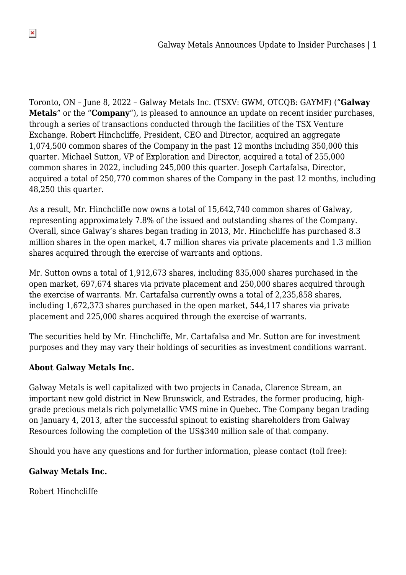Toronto, ON – June 8, 2022 – Galway Metals Inc. (TSXV: GWM, OTCQB: GAYMF) ("**Galway Metals**" or the "**Company**"), is pleased to announce an update on recent insider purchases, through a series of transactions conducted through the facilities of the TSX Venture Exchange. Robert Hinchcliffe, President, CEO and Director, acquired an aggregate 1,074,500 common shares of the Company in the past 12 months including 350,000 this quarter. Michael Sutton, VP of Exploration and Director, acquired a total of 255,000 common shares in 2022, including 245,000 this quarter. Joseph Cartafalsa, Director, acquired a total of 250,770 common shares of the Company in the past 12 months, including 48,250 this quarter.

As a result, Mr. Hinchcliffe now owns a total of 15,642,740 common shares of Galway, representing approximately 7.8% of the issued and outstanding shares of the Company. Overall, since Galway's shares began trading in 2013, Mr. Hinchcliffe has purchased 8.3 million shares in the open market, 4.7 million shares via private placements and 1.3 million shares acquired through the exercise of warrants and options.

Mr. Sutton owns a total of 1,912,673 shares, including 835,000 shares purchased in the open market, 697,674 shares via private placement and 250,000 shares acquired through the exercise of warrants. Mr. Cartafalsa currently owns a total of 2,235,858 shares, including 1,672,373 shares purchased in the open market, 544,117 shares via private placement and 225,000 shares acquired through the exercise of warrants.

The securities held by Mr. Hinchcliffe, Mr. Cartafalsa and Mr. Sutton are for investment purposes and they may vary their holdings of securities as investment conditions warrant.

## **About Galway Metals Inc.**

Galway Metals is well capitalized with two projects in Canada, Clarence Stream, an important new gold district in New Brunswick, and Estrades, the former producing, highgrade precious metals rich polymetallic VMS mine in Quebec. The Company began trading on January 4, 2013, after the successful spinout to existing shareholders from Galway Resources following the completion of the US\$340 million sale of that company.

Should you have any questions and for further information, please contact (toll free):

## **Galway Metals Inc.**

Robert Hinchcliffe

 $\pmb{\times}$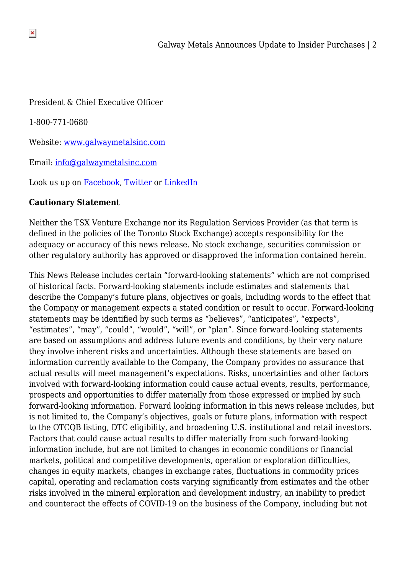President & Chief Executive Officer

1-800-771-0680

Website: [www.galwaymetalsinc.com](https://pr.report/vJ-7OMSA)

Email: [info@galwaymetalsinc.com](mailto:info@galwaymetalsinc.com)

Look us up on [Facebook,](https://pr.report/67UHJLlY) [Twitter](https://pr.report/InRasUkB) or [LinkedIn](https://pr.report/qQ4WMvbR)

## **Cautionary Statement**

Neither the TSX Venture Exchange nor its Regulation Services Provider (as that term is defined in the policies of the Toronto Stock Exchange) accepts responsibility for the adequacy or accuracy of this news release. No stock exchange, securities commission or other regulatory authority has approved or disapproved the information contained herein.

This News Release includes certain "forward-looking statements" which are not comprised of historical facts. Forward-looking statements include estimates and statements that describe the Company's future plans, objectives or goals, including words to the effect that the Company or management expects a stated condition or result to occur. Forward-looking statements may be identified by such terms as "believes", "anticipates", "expects", "estimates", "may", "could", "would", "will", or "plan". Since forward-looking statements are based on assumptions and address future events and conditions, by their very nature they involve inherent risks and uncertainties. Although these statements are based on information currently available to the Company, the Company provides no assurance that actual results will meet management's expectations. Risks, uncertainties and other factors involved with forward-looking information could cause actual events, results, performance, prospects and opportunities to differ materially from those expressed or implied by such forward-looking information. Forward looking information in this news release includes, but is not limited to, the Company's objectives, goals or future plans, information with respect to the OTCQB listing, DTC eligibility, and broadening U.S. institutional and retail investors. Factors that could cause actual results to differ materially from such forward-looking information include, but are not limited to changes in economic conditions or financial markets, political and competitive developments, operation or exploration difficulties, changes in equity markets, changes in exchange rates, fluctuations in commodity prices capital, operating and reclamation costs varying significantly from estimates and the other risks involved in the mineral exploration and development industry, an inability to predict and counteract the effects of COVID-19 on the business of the Company, including but not

 $\pmb{\times}$